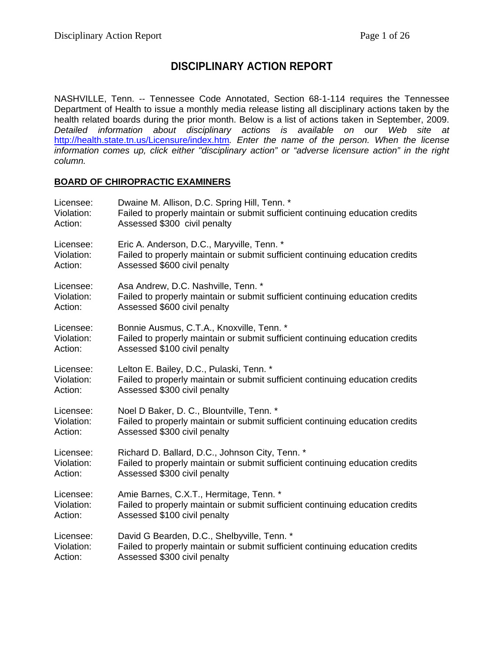## **DISCIPLINARY ACTION REPORT**

NASHVILLE, Tenn. -- Tennessee Code Annotated, Section 68-1-114 requires the Tennessee Department of Health to issue a monthly media release listing all disciplinary actions taken by the health related boards during the prior month. Below is a list of actions taken in September, 2009. *Detailed information about disciplinary actions is available on our Web site at*  <http://health.state.tn.us/Licensure/index.htm>*. Enter the name of the person. When the license information comes up, click either "disciplinary action" or "adverse licensure action" in the right column.* 

#### **BOARD OF CHIROPRACTIC EXAMINERS**

| Licensee:  | Dwaine M. Allison, D.C. Spring Hill, Tenn. *                                  |
|------------|-------------------------------------------------------------------------------|
| Violation: | Failed to properly maintain or submit sufficient continuing education credits |
| Action:    | Assessed \$300 civil penalty                                                  |
| Licensee:  | Eric A. Anderson, D.C., Maryville, Tenn. *                                    |
| Violation: | Failed to properly maintain or submit sufficient continuing education credits |
| Action:    | Assessed \$600 civil penalty                                                  |
| Licensee:  | Asa Andrew, D.C. Nashville, Tenn. *                                           |
| Violation: | Failed to properly maintain or submit sufficient continuing education credits |
| Action:    | Assessed \$600 civil penalty                                                  |
| Licensee:  | Bonnie Ausmus, C.T.A., Knoxville, Tenn. *                                     |
| Violation: | Failed to properly maintain or submit sufficient continuing education credits |
| Action:    | Assessed \$100 civil penalty                                                  |
| Licensee:  | Lelton E. Bailey, D.C., Pulaski, Tenn. *                                      |
| Violation: | Failed to properly maintain or submit sufficient continuing education credits |
| Action:    | Assessed \$300 civil penalty                                                  |
| Licensee:  | Noel D Baker, D. C., Blountville, Tenn. *                                     |
| Violation: | Failed to properly maintain or submit sufficient continuing education credits |
| Action:    | Assessed \$300 civil penalty                                                  |
| Licensee:  | Richard D. Ballard, D.C., Johnson City, Tenn. *                               |
| Violation: | Failed to properly maintain or submit sufficient continuing education credits |
| Action:    | Assessed \$300 civil penalty                                                  |
| Licensee:  | Amie Barnes, C.X.T., Hermitage, Tenn. *                                       |
| Violation: | Failed to properly maintain or submit sufficient continuing education credits |
| Action:    | Assessed \$100 civil penalty                                                  |
| Licensee:  | David G Bearden, D.C., Shelbyville, Tenn. *                                   |
| Violation: | Failed to properly maintain or submit sufficient continuing education credits |
| Action:    | Assessed \$300 civil penalty                                                  |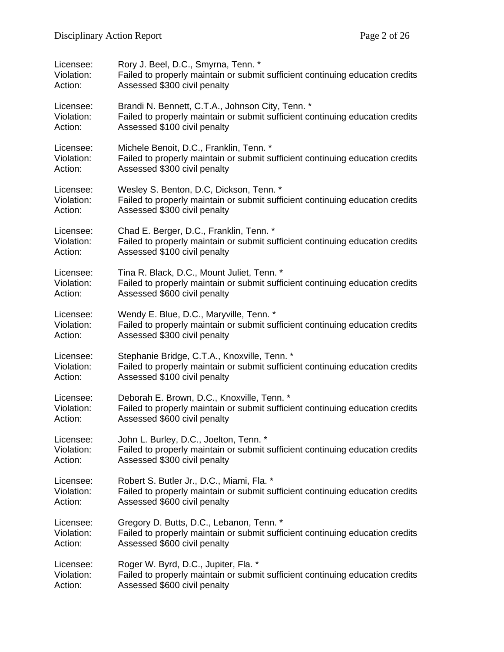| Licensee:  | Rory J. Beel, D.C., Smyrna, Tenn. *                                           |
|------------|-------------------------------------------------------------------------------|
| Violation: | Failed to properly maintain or submit sufficient continuing education credits |
| Action:    | Assessed \$300 civil penalty                                                  |
| Licensee:  | Brandi N. Bennett, C.T.A., Johnson City, Tenn. *                              |
| Violation: | Failed to properly maintain or submit sufficient continuing education credits |
| Action:    | Assessed \$100 civil penalty                                                  |
| Licensee:  | Michele Benoit, D.C., Franklin, Tenn. *                                       |
| Violation: | Failed to properly maintain or submit sufficient continuing education credits |
| Action:    | Assessed \$300 civil penalty                                                  |
| Licensee:  | Wesley S. Benton, D.C, Dickson, Tenn. *                                       |
| Violation: | Failed to properly maintain or submit sufficient continuing education credits |
| Action:    | Assessed \$300 civil penalty                                                  |
| Licensee:  | Chad E. Berger, D.C., Franklin, Tenn. *                                       |
| Violation: | Failed to properly maintain or submit sufficient continuing education credits |
| Action:    | Assessed \$100 civil penalty                                                  |
| Licensee:  | Tina R. Black, D.C., Mount Juliet, Tenn. *                                    |
| Violation: | Failed to properly maintain or submit sufficient continuing education credits |
| Action:    | Assessed \$600 civil penalty                                                  |
| Licensee:  | Wendy E. Blue, D.C., Maryville, Tenn. *                                       |
| Violation: | Failed to properly maintain or submit sufficient continuing education credits |
| Action:    | Assessed \$300 civil penalty                                                  |
| Licensee:  | Stephanie Bridge, C.T.A., Knoxville, Tenn. *                                  |
| Violation: | Failed to properly maintain or submit sufficient continuing education credits |
| Action:    | Assessed \$100 civil penalty                                                  |
| Licensee:  | Deborah E. Brown, D.C., Knoxville, Tenn. *                                    |
| Violation: | Failed to properly maintain or submit sufficient continuing education credits |
| Action:    | Assessed \$600 civil penalty                                                  |
| Licensee:  | John L. Burley, D.C., Joelton, Tenn. *                                        |
| Violation: | Failed to properly maintain or submit sufficient continuing education credits |
| Action:    | Assessed \$300 civil penalty                                                  |
| Licensee:  | Robert S. Butler Jr., D.C., Miami, Fla. *                                     |
| Violation: | Failed to properly maintain or submit sufficient continuing education credits |
| Action:    | Assessed \$600 civil penalty                                                  |
| Licensee:  | Gregory D. Butts, D.C., Lebanon, Tenn. *                                      |
| Violation: | Failed to properly maintain or submit sufficient continuing education credits |
| Action:    | Assessed \$600 civil penalty                                                  |
| Licensee:  | Roger W. Byrd, D.C., Jupiter, Fla. *                                          |
| Violation: | Failed to properly maintain or submit sufficient continuing education credits |
| Action:    | Assessed \$600 civil penalty                                                  |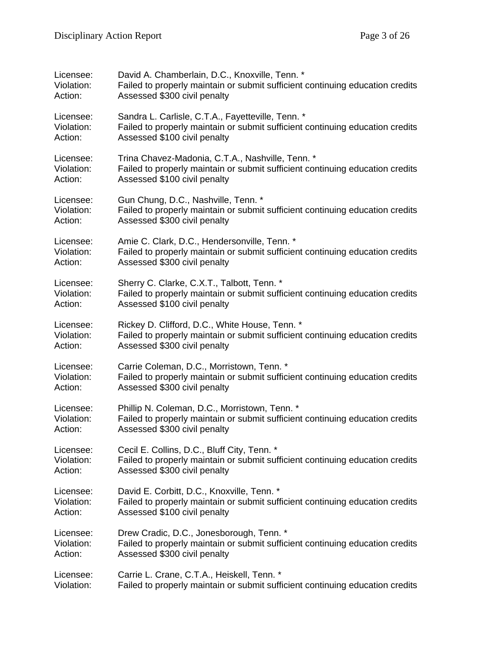| Licensee:  | David A. Chamberlain, D.C., Knoxville, Tenn. *                                |
|------------|-------------------------------------------------------------------------------|
| Violation: | Failed to properly maintain or submit sufficient continuing education credits |
| Action:    | Assessed \$300 civil penalty                                                  |
| Licensee:  | Sandra L. Carlisle, C.T.A., Fayetteville, Tenn. *                             |
| Violation: | Failed to properly maintain or submit sufficient continuing education credits |
| Action:    | Assessed \$100 civil penalty                                                  |
| Licensee:  | Trina Chavez-Madonia, C.T.A., Nashville, Tenn. *                              |
| Violation: | Failed to properly maintain or submit sufficient continuing education credits |
| Action:    | Assessed \$100 civil penalty                                                  |
| Licensee:  | Gun Chung, D.C., Nashville, Tenn. *                                           |
| Violation: | Failed to properly maintain or submit sufficient continuing education credits |
| Action:    | Assessed \$300 civil penalty                                                  |
| Licensee:  | Amie C. Clark, D.C., Hendersonville, Tenn. *                                  |
| Violation: | Failed to properly maintain or submit sufficient continuing education credits |
| Action:    | Assessed \$300 civil penalty                                                  |
| Licensee:  | Sherry C. Clarke, C.X.T., Talbott, Tenn. *                                    |
| Violation: | Failed to properly maintain or submit sufficient continuing education credits |
| Action:    | Assessed \$100 civil penalty                                                  |
| Licensee:  | Rickey D. Clifford, D.C., White House, Tenn. *                                |
| Violation: | Failed to properly maintain or submit sufficient continuing education credits |
| Action:    | Assessed \$300 civil penalty                                                  |
| Licensee:  | Carrie Coleman, D.C., Morristown, Tenn. *                                     |
| Violation: | Failed to properly maintain or submit sufficient continuing education credits |
| Action:    | Assessed \$300 civil penalty                                                  |
| Licensee:  | Phillip N. Coleman, D.C., Morristown, Tenn. *                                 |
| Violation: | Failed to properly maintain or submit sufficient continuing education credits |
| Action:    | Assessed \$300 civil penalty                                                  |
| Licensee:  | Cecil E. Collins, D.C., Bluff City, Tenn. *                                   |
| Violation: | Failed to properly maintain or submit sufficient continuing education credits |
| Action:    | Assessed \$300 civil penalty                                                  |
| Licensee:  | David E. Corbitt, D.C., Knoxville, Tenn. *                                    |
| Violation: | Failed to properly maintain or submit sufficient continuing education credits |
| Action:    | Assessed \$100 civil penalty                                                  |
| Licensee:  | Drew Cradic, D.C., Jonesborough, Tenn. *                                      |
| Violation: | Failed to properly maintain or submit sufficient continuing education credits |
| Action:    | Assessed \$300 civil penalty                                                  |
| Licensee:  | Carrie L. Crane, C.T.A., Heiskell, Tenn. *                                    |
| Violation: | Failed to properly maintain or submit sufficient continuing education credits |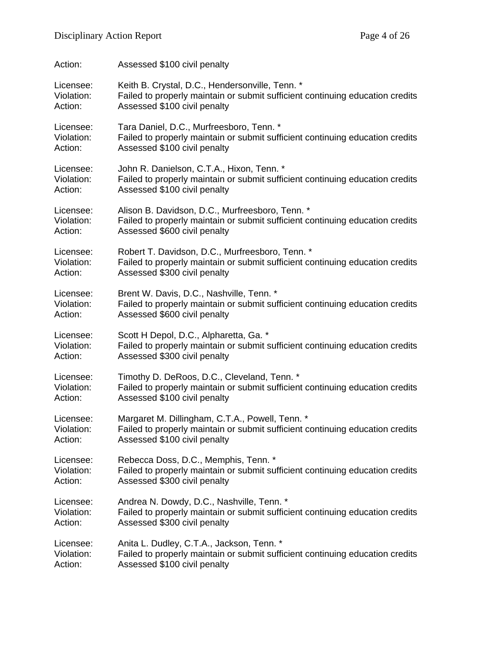| Action:    | Assessed \$100 civil penalty                                                  |
|------------|-------------------------------------------------------------------------------|
| Licensee:  | Keith B. Crystal, D.C., Hendersonville, Tenn. *                               |
| Violation: | Failed to properly maintain or submit sufficient continuing education credits |
| Action:    | Assessed \$100 civil penalty                                                  |
| Licensee:  | Tara Daniel, D.C., Murfreesboro, Tenn. *                                      |
| Violation: | Failed to properly maintain or submit sufficient continuing education credits |
| Action:    | Assessed \$100 civil penalty                                                  |
| Licensee:  | John R. Danielson, C.T.A., Hixon, Tenn. *                                     |
| Violation: | Failed to properly maintain or submit sufficient continuing education credits |
| Action:    | Assessed \$100 civil penalty                                                  |
| Licensee:  | Alison B. Davidson, D.C., Murfreesboro, Tenn. *                               |
| Violation: | Failed to properly maintain or submit sufficient continuing education credits |
| Action:    | Assessed \$600 civil penalty                                                  |
| Licensee:  | Robert T. Davidson, D.C., Murfreesboro, Tenn. *                               |
| Violation: | Failed to properly maintain or submit sufficient continuing education credits |
| Action:    | Assessed \$300 civil penalty                                                  |
| Licensee:  | Brent W. Davis, D.C., Nashville, Tenn. *                                      |
| Violation: | Failed to properly maintain or submit sufficient continuing education credits |
| Action:    | Assessed \$600 civil penalty                                                  |
| Licensee:  | Scott H Depol, D.C., Alpharetta, Ga. *                                        |
| Violation: | Failed to properly maintain or submit sufficient continuing education credits |
| Action:    | Assessed \$300 civil penalty                                                  |
| Licensee:  | Timothy D. DeRoos, D.C., Cleveland, Tenn. *                                   |
| Violation: | Failed to properly maintain or submit sufficient continuing education credits |
| Action:    | Assessed \$100 civil penalty                                                  |
| Licensee:  | Margaret M. Dillingham, C.T.A., Powell, Tenn. *                               |
| Violation: | Failed to properly maintain or submit sufficient continuing education credits |
| Action:    | Assessed \$100 civil penalty                                                  |
| Licensee:  | Rebecca Doss, D.C., Memphis, Tenn. *                                          |
| Violation: | Failed to properly maintain or submit sufficient continuing education credits |
| Action:    | Assessed \$300 civil penalty                                                  |
| Licensee:  | Andrea N. Dowdy, D.C., Nashville, Tenn. *                                     |
| Violation: | Failed to properly maintain or submit sufficient continuing education credits |
| Action:    | Assessed \$300 civil penalty                                                  |
| Licensee:  | Anita L. Dudley, C.T.A., Jackson, Tenn. *                                     |
| Violation: | Failed to properly maintain or submit sufficient continuing education credits |
| Action:    | Assessed \$100 civil penalty                                                  |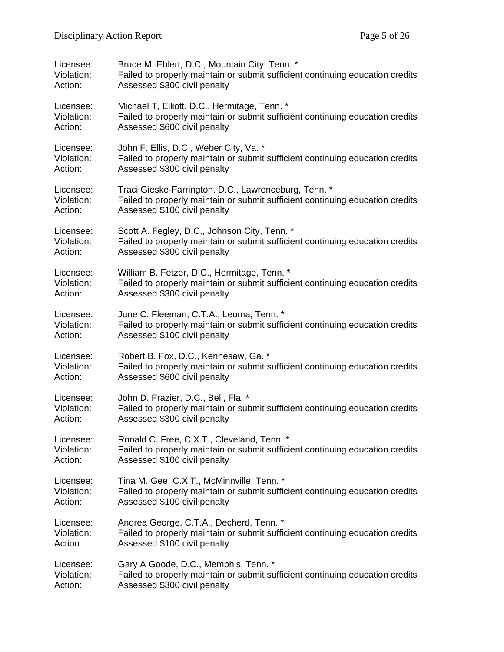| Licensee:  | Bruce M. Ehlert, D.C., Mountain City, Tenn. *                                 |
|------------|-------------------------------------------------------------------------------|
| Violation: | Failed to properly maintain or submit sufficient continuing education credits |
| Action:    | Assessed \$300 civil penalty                                                  |
| Licensee:  | Michael T, Elliott, D.C., Hermitage, Tenn. *                                  |
| Violation: | Failed to properly maintain or submit sufficient continuing education credits |
| Action:    | Assessed \$600 civil penalty                                                  |
| Licensee:  | John F. Ellis, D.C., Weber City, Va. *                                        |
| Violation: | Failed to properly maintain or submit sufficient continuing education credits |
| Action:    | Assessed \$300 civil penalty                                                  |
| Licensee:  | Traci Gieske-Farrington, D.C., Lawrenceburg, Tenn. *                          |
| Violation: | Failed to properly maintain or submit sufficient continuing education credits |
| Action:    | Assessed \$100 civil penalty                                                  |
| Licensee:  | Scott A. Fegley, D.C., Johnson City, Tenn. *                                  |
| Violation: | Failed to properly maintain or submit sufficient continuing education credits |
| Action:    | Assessed \$300 civil penalty                                                  |
| Licensee:  | William B. Fetzer, D.C., Hermitage, Tenn. *                                   |
| Violation: | Failed to properly maintain or submit sufficient continuing education credits |
| Action:    | Assessed \$300 civil penalty                                                  |
| Licensee:  | June C. Fleeman, C.T.A., Leoma, Tenn. *                                       |
| Violation: | Failed to properly maintain or submit sufficient continuing education credits |
| Action:    | Assessed \$100 civil penalty                                                  |
| Licensee:  | Robert B. Fox, D.C., Kennesaw, Ga. *                                          |
| Violation: | Failed to properly maintain or submit sufficient continuing education credits |
| Action:    | Assessed \$600 civil penalty                                                  |
| Licensee:  | John D. Frazier, D.C., Bell, Fla. *                                           |
| Violation: | Failed to properly maintain or submit sufficient continuing education credits |
| Action:    | Assessed \$300 civil penalty                                                  |
| Licensee:  | Ronald C. Free, C.X.T., Cleveland, Tenn. *                                    |
| Violation: | Failed to properly maintain or submit sufficient continuing education credits |
| Action:    | Assessed \$100 civil penalty                                                  |
| Licensee:  | Tina M. Gee, C.X.T., McMinnville, Tenn. *                                     |
| Violation: | Failed to properly maintain or submit sufficient continuing education credits |
| Action:    | Assessed \$100 civil penalty                                                  |
| Licensee:  | Andrea George, C.T.A., Decherd, Tenn. *                                       |
| Violation: | Failed to properly maintain or submit sufficient continuing education credits |
| Action:    | Assessed \$100 civil penalty                                                  |
| Licensee:  | Gary A Goode, D.C., Memphis, Tenn. *                                          |
| Violation: | Failed to properly maintain or submit sufficient continuing education credits |
| Action:    | Assessed \$300 civil penalty                                                  |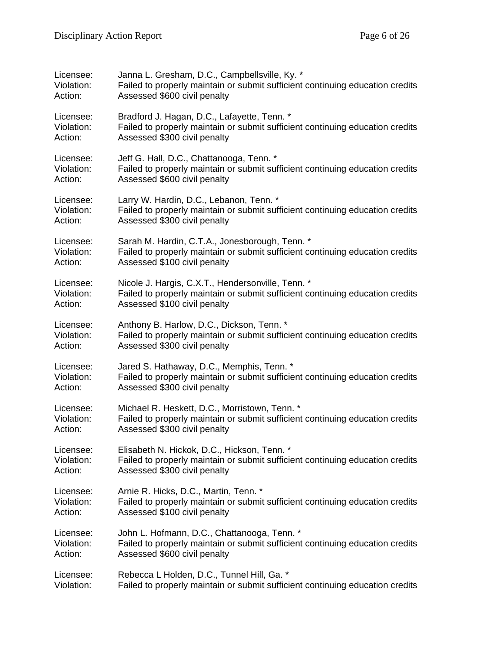| Licensee:  | Janna L. Gresham, D.C., Campbellsville, Ky. *                                 |
|------------|-------------------------------------------------------------------------------|
| Violation: | Failed to properly maintain or submit sufficient continuing education credits |
| Action:    | Assessed \$600 civil penalty                                                  |
| Licensee:  | Bradford J. Hagan, D.C., Lafayette, Tenn. *                                   |
| Violation: | Failed to properly maintain or submit sufficient continuing education credits |
| Action:    | Assessed \$300 civil penalty                                                  |
| Licensee:  | Jeff G. Hall, D.C., Chattanooga, Tenn. *                                      |
| Violation: | Failed to properly maintain or submit sufficient continuing education credits |
| Action:    | Assessed \$600 civil penalty                                                  |
| Licensee:  | Larry W. Hardin, D.C., Lebanon, Tenn. *                                       |
| Violation: | Failed to properly maintain or submit sufficient continuing education credits |
| Action:    | Assessed \$300 civil penalty                                                  |
| Licensee:  | Sarah M. Hardin, C.T.A., Jonesborough, Tenn. *                                |
| Violation: | Failed to properly maintain or submit sufficient continuing education credits |
| Action:    | Assessed \$100 civil penalty                                                  |
| Licensee:  | Nicole J. Hargis, C.X.T., Hendersonville, Tenn. *                             |
| Violation: | Failed to properly maintain or submit sufficient continuing education credits |
| Action:    | Assessed \$100 civil penalty                                                  |
| Licensee:  | Anthony B. Harlow, D.C., Dickson, Tenn. *                                     |
| Violation: | Failed to properly maintain or submit sufficient continuing education credits |
| Action:    | Assessed \$300 civil penalty                                                  |
| Licensee:  | Jared S. Hathaway, D.C., Memphis, Tenn. *                                     |
| Violation: | Failed to properly maintain or submit sufficient continuing education credits |
| Action:    | Assessed \$300 civil penalty                                                  |
| Licensee:  | Michael R. Heskett, D.C., Morristown, Tenn. *                                 |
| Violation: | Failed to properly maintain or submit sufficient continuing education credits |
| Action:    | Assessed \$300 civil penalty                                                  |
| Licensee:  | Elisabeth N. Hickok, D.C., Hickson, Tenn. *                                   |
| Violation: | Failed to properly maintain or submit sufficient continuing education credits |
| Action:    | Assessed \$300 civil penalty                                                  |
| Licensee:  | Arnie R. Hicks, D.C., Martin, Tenn. *                                         |
| Violation: | Failed to properly maintain or submit sufficient continuing education credits |
| Action:    | Assessed \$100 civil penalty                                                  |
| Licensee:  | John L. Hofmann, D.C., Chattanooga, Tenn. *                                   |
| Violation: | Failed to properly maintain or submit sufficient continuing education credits |
| Action:    | Assessed \$600 civil penalty                                                  |
| Licensee:  | Rebecca L Holden, D.C., Tunnel Hill, Ga. *                                    |
| Violation: | Failed to properly maintain or submit sufficient continuing education credits |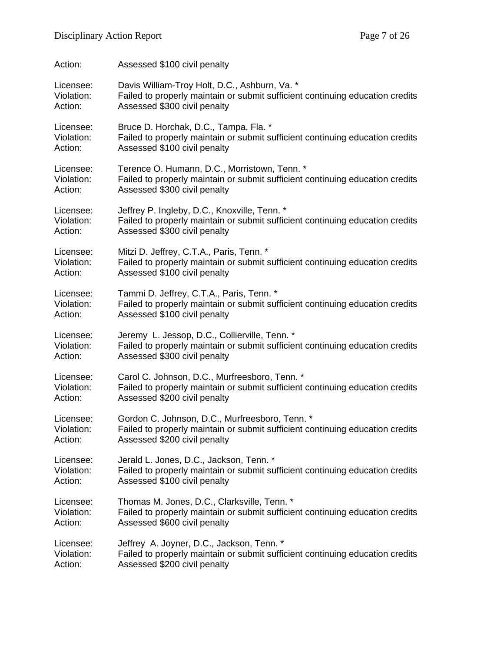| Action:    | Assessed \$100 civil penalty                                                  |
|------------|-------------------------------------------------------------------------------|
| Licensee:  | Davis William-Troy Holt, D.C., Ashburn, Va. *                                 |
| Violation: | Failed to properly maintain or submit sufficient continuing education credits |
| Action:    | Assessed \$300 civil penalty                                                  |
| Licensee:  | Bruce D. Horchak, D.C., Tampa, Fla. *                                         |
| Violation: | Failed to properly maintain or submit sufficient continuing education credits |
| Action:    | Assessed \$100 civil penalty                                                  |
| Licensee:  | Terence O. Humann, D.C., Morristown, Tenn. *                                  |
| Violation: | Failed to properly maintain or submit sufficient continuing education credits |
| Action:    | Assessed \$300 civil penalty                                                  |
| Licensee:  | Jeffrey P. Ingleby, D.C., Knoxville, Tenn. *                                  |
| Violation: | Failed to properly maintain or submit sufficient continuing education credits |
| Action:    | Assessed \$300 civil penalty                                                  |
| Licensee:  | Mitzi D. Jeffrey, C.T.A., Paris, Tenn. *                                      |
| Violation: | Failed to properly maintain or submit sufficient continuing education credits |
| Action:    | Assessed \$100 civil penalty                                                  |
| Licensee:  | Tammi D. Jeffrey, C.T.A., Paris, Tenn. *                                      |
| Violation: | Failed to properly maintain or submit sufficient continuing education credits |
| Action:    | Assessed \$100 civil penalty                                                  |
| Licensee:  | Jeremy L. Jessop, D.C., Collierville, Tenn. *                                 |
| Violation: | Failed to properly maintain or submit sufficient continuing education credits |
| Action:    | Assessed \$300 civil penalty                                                  |
| Licensee:  | Carol C. Johnson, D.C., Murfreesboro, Tenn. *                                 |
| Violation: | Failed to properly maintain or submit sufficient continuing education credits |
| Action:    | Assessed \$200 civil penalty                                                  |
| Licensee:  | Gordon C. Johnson, D.C., Murfreesboro, Tenn. *                                |
| Violation: | Failed to properly maintain or submit sufficient continuing education credits |
| Action:    | Assessed \$200 civil penalty                                                  |
| Licensee:  | Jerald L. Jones, D.C., Jackson, Tenn. *                                       |
| Violation: | Failed to properly maintain or submit sufficient continuing education credits |
| Action:    | Assessed \$100 civil penalty                                                  |
| Licensee:  | Thomas M. Jones, D.C., Clarksville, Tenn. *                                   |
| Violation: | Failed to properly maintain or submit sufficient continuing education credits |
| Action:    | Assessed \$600 civil penalty                                                  |
| Licensee:  | Jeffrey A. Joyner, D.C., Jackson, Tenn. *                                     |
| Violation: | Failed to properly maintain or submit sufficient continuing education credits |
| Action:    | Assessed \$200 civil penalty                                                  |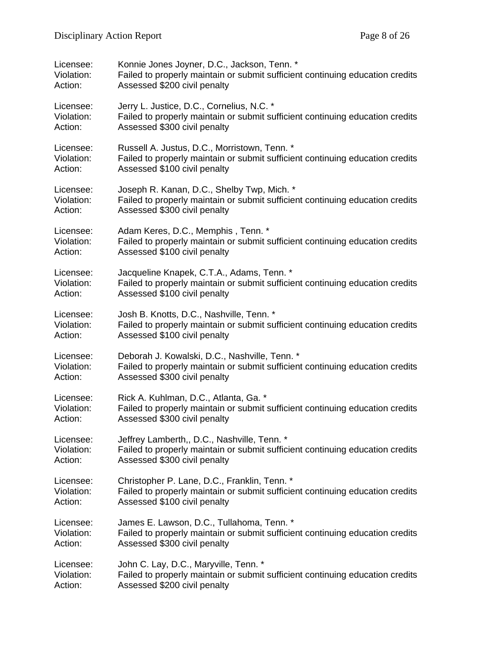| Licensee:  | Konnie Jones Joyner, D.C., Jackson, Tenn. *                                   |
|------------|-------------------------------------------------------------------------------|
| Violation: | Failed to properly maintain or submit sufficient continuing education credits |
| Action:    | Assessed \$200 civil penalty                                                  |
| Licensee:  | Jerry L. Justice, D.C., Cornelius, N.C. *                                     |
| Violation: | Failed to properly maintain or submit sufficient continuing education credits |
| Action:    | Assessed \$300 civil penalty                                                  |
| Licensee:  | Russell A. Justus, D.C., Morristown, Tenn. *                                  |
| Violation: | Failed to properly maintain or submit sufficient continuing education credits |
| Action:    | Assessed \$100 civil penalty                                                  |
| Licensee:  | Joseph R. Kanan, D.C., Shelby Twp, Mich. *                                    |
| Violation: | Failed to properly maintain or submit sufficient continuing education credits |
| Action:    | Assessed \$300 civil penalty                                                  |
| Licensee:  | Adam Keres, D.C., Memphis, Tenn. *                                            |
| Violation: | Failed to properly maintain or submit sufficient continuing education credits |
| Action:    | Assessed \$100 civil penalty                                                  |
| Licensee:  | Jacqueline Knapek, C.T.A., Adams, Tenn. *                                     |
| Violation: | Failed to properly maintain or submit sufficient continuing education credits |
| Action:    | Assessed \$100 civil penalty                                                  |
| Licensee:  | Josh B. Knotts, D.C., Nashville, Tenn. *                                      |
| Violation: | Failed to properly maintain or submit sufficient continuing education credits |
| Action:    | Assessed \$100 civil penalty                                                  |
| Licensee:  | Deborah J. Kowalski, D.C., Nashville, Tenn. *                                 |
| Violation: | Failed to properly maintain or submit sufficient continuing education credits |
| Action:    | Assessed \$300 civil penalty                                                  |
| Licensee:  | Rick A. Kuhlman, D.C., Atlanta, Ga. *                                         |
| Violation: | Failed to properly maintain or submit sufficient continuing education credits |
| Action:    | Assessed \$300 civil penalty                                                  |
| Licensee:  | Jeffrey Lamberth,, D.C., Nashville, Tenn. *                                   |
| Violation: | Failed to properly maintain or submit sufficient continuing education credits |
| Action:    | Assessed \$300 civil penalty                                                  |
| Licensee:  | Christopher P. Lane, D.C., Franklin, Tenn. *                                  |
| Violation: | Failed to properly maintain or submit sufficient continuing education credits |
| Action:    | Assessed \$100 civil penalty                                                  |
| Licensee:  | James E. Lawson, D.C., Tullahoma, Tenn. *                                     |
| Violation: | Failed to properly maintain or submit sufficient continuing education credits |
| Action:    | Assessed \$300 civil penalty                                                  |
| Licensee:  | John C. Lay, D.C., Maryville, Tenn. *                                         |
| Violation: | Failed to properly maintain or submit sufficient continuing education credits |
| Action:    | Assessed \$200 civil penalty                                                  |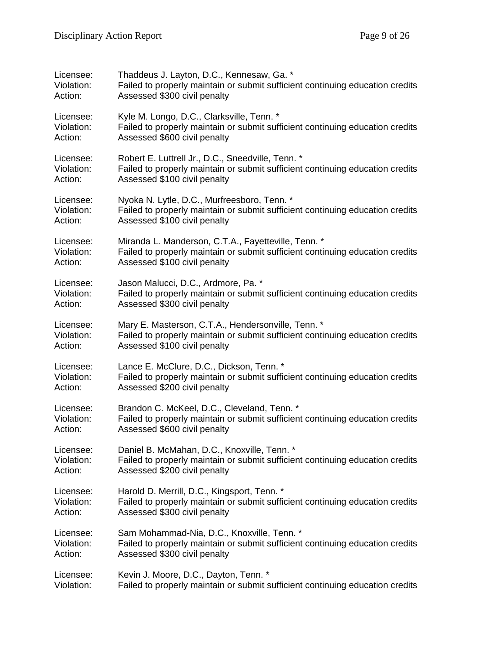| Licensee:  | Thaddeus J. Layton, D.C., Kennesaw, Ga. *                                     |
|------------|-------------------------------------------------------------------------------|
| Violation: | Failed to properly maintain or submit sufficient continuing education credits |
| Action:    | Assessed \$300 civil penalty                                                  |
| Licensee:  | Kyle M. Longo, D.C., Clarksville, Tenn. *                                     |
| Violation: | Failed to properly maintain or submit sufficient continuing education credits |
| Action:    | Assessed \$600 civil penalty                                                  |
| Licensee:  | Robert E. Luttrell Jr., D.C., Sneedville, Tenn. *                             |
| Violation: | Failed to properly maintain or submit sufficient continuing education credits |
| Action:    | Assessed \$100 civil penalty                                                  |
| Licensee:  | Nyoka N. Lytle, D.C., Murfreesboro, Tenn. *                                   |
| Violation: | Failed to properly maintain or submit sufficient continuing education credits |
| Action:    | Assessed \$100 civil penalty                                                  |
| Licensee:  | Miranda L. Manderson, C.T.A., Fayetteville, Tenn. *                           |
| Violation: | Failed to properly maintain or submit sufficient continuing education credits |
| Action:    | Assessed \$100 civil penalty                                                  |
| Licensee:  | Jason Malucci, D.C., Ardmore, Pa. *                                           |
| Violation: | Failed to properly maintain or submit sufficient continuing education credits |
| Action:    | Assessed \$300 civil penalty                                                  |
| Licensee:  | Mary E. Masterson, C.T.A., Hendersonville, Tenn. *                            |
| Violation: | Failed to properly maintain or submit sufficient continuing education credits |
| Action:    | Assessed \$100 civil penalty                                                  |
| Licensee:  | Lance E. McClure, D.C., Dickson, Tenn. *                                      |
| Violation: | Failed to properly maintain or submit sufficient continuing education credits |
| Action:    | Assessed \$200 civil penalty                                                  |
| Licensee:  | Brandon C. McKeel, D.C., Cleveland, Tenn. *                                   |
| Violation: | Failed to properly maintain or submit sufficient continuing education credits |
| Action:    | Assessed \$600 civil penalty                                                  |
| Licensee:  | Daniel B. McMahan, D.C., Knoxville, Tenn. *                                   |
| Violation: | Failed to properly maintain or submit sufficient continuing education credits |
| Action:    | Assessed \$200 civil penalty                                                  |
| Licensee:  | Harold D. Merrill, D.C., Kingsport, Tenn. *                                   |
| Violation: | Failed to properly maintain or submit sufficient continuing education credits |
| Action:    | Assessed \$300 civil penalty                                                  |
| Licensee:  | Sam Mohammad-Nia, D.C., Knoxville, Tenn. *                                    |
| Violation: | Failed to properly maintain or submit sufficient continuing education credits |
| Action:    | Assessed \$300 civil penalty                                                  |
| Licensee:  | Kevin J. Moore, D.C., Dayton, Tenn. *                                         |
| Violation: | Failed to properly maintain or submit sufficient continuing education credits |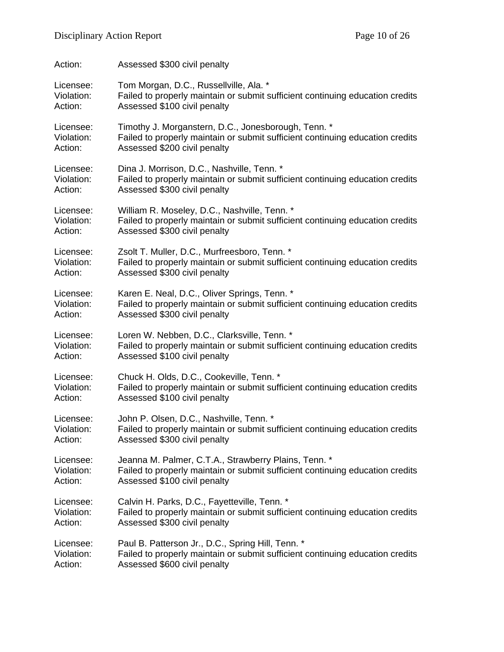| Action:    | Assessed \$300 civil penalty                                                  |
|------------|-------------------------------------------------------------------------------|
| Licensee:  | Tom Morgan, D.C., Russellville, Ala. *                                        |
| Violation: | Failed to properly maintain or submit sufficient continuing education credits |
| Action:    | Assessed \$100 civil penalty                                                  |
| Licensee:  | Timothy J. Morganstern, D.C., Jonesborough, Tenn. *                           |
| Violation: | Failed to properly maintain or submit sufficient continuing education credits |
| Action:    | Assessed \$200 civil penalty                                                  |
| Licensee:  | Dina J. Morrison, D.C., Nashville, Tenn. *                                    |
| Violation: | Failed to properly maintain or submit sufficient continuing education credits |
| Action:    | Assessed \$300 civil penalty                                                  |
| Licensee:  | William R. Moseley, D.C., Nashville, Tenn. *                                  |
| Violation: | Failed to properly maintain or submit sufficient continuing education credits |
| Action:    | Assessed \$300 civil penalty                                                  |
| Licensee:  | Zsolt T. Muller, D.C., Murfreesboro, Tenn. *                                  |
| Violation: | Failed to properly maintain or submit sufficient continuing education credits |
| Action:    | Assessed \$300 civil penalty                                                  |
| Licensee:  | Karen E. Neal, D.C., Oliver Springs, Tenn. *                                  |
| Violation: | Failed to properly maintain or submit sufficient continuing education credits |
| Action:    | Assessed \$300 civil penalty                                                  |
| Licensee:  | Loren W. Nebben, D.C., Clarksville, Tenn. *                                   |
| Violation: | Failed to properly maintain or submit sufficient continuing education credits |
| Action:    | Assessed \$100 civil penalty                                                  |
| Licensee:  | Chuck H. Olds, D.C., Cookeville, Tenn. *                                      |
| Violation: | Failed to properly maintain or submit sufficient continuing education credits |
| Action:    | Assessed \$100 civil penalty                                                  |
| Licensee:  | John P. Olsen, D.C., Nashville, Tenn. *                                       |
| Violation: | Failed to properly maintain or submit sufficient continuing education credits |
| Action:    | Assessed \$300 civil penalty                                                  |
| Licensee:  | Jeanna M. Palmer, C.T.A., Strawberry Plains, Tenn. *                          |
| Violation: | Failed to properly maintain or submit sufficient continuing education credits |
| Action:    | Assessed \$100 civil penalty                                                  |
| Licensee:  | Calvin H. Parks, D.C., Fayetteville, Tenn. *                                  |
| Violation: | Failed to properly maintain or submit sufficient continuing education credits |
| Action:    | Assessed \$300 civil penalty                                                  |
| Licensee:  | Paul B. Patterson Jr., D.C., Spring Hill, Tenn. *                             |
| Violation: | Failed to properly maintain or submit sufficient continuing education credits |
| Action:    | Assessed \$600 civil penalty                                                  |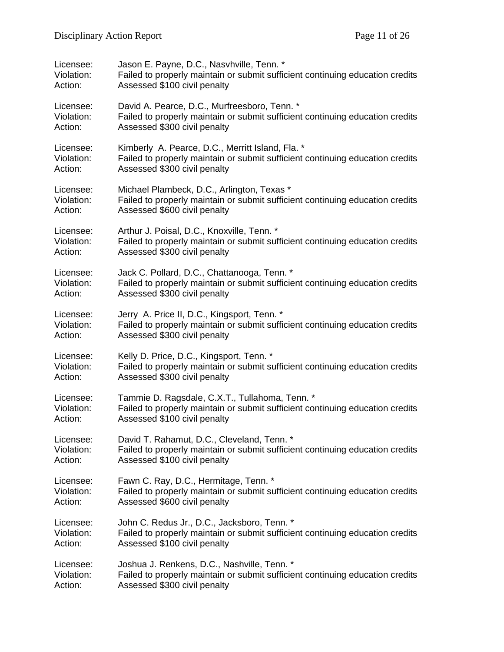| Licensee:  | Jason E. Payne, D.C., Nasvhville, Tenn. *                                     |
|------------|-------------------------------------------------------------------------------|
| Violation: | Failed to properly maintain or submit sufficient continuing education credits |
| Action:    | Assessed \$100 civil penalty                                                  |
| Licensee:  | David A. Pearce, D.C., Murfreesboro, Tenn. *                                  |
| Violation: | Failed to properly maintain or submit sufficient continuing education credits |
| Action:    | Assessed \$300 civil penalty                                                  |
| Licensee:  | Kimberly A. Pearce, D.C., Merritt Island, Fla. *                              |
| Violation: | Failed to properly maintain or submit sufficient continuing education credits |
| Action:    | Assessed \$300 civil penalty                                                  |
| Licensee:  | Michael Plambeck, D.C., Arlington, Texas *                                    |
| Violation: | Failed to properly maintain or submit sufficient continuing education credits |
| Action:    | Assessed \$600 civil penalty                                                  |
| Licensee:  | Arthur J. Poisal, D.C., Knoxville, Tenn. *                                    |
| Violation: | Failed to properly maintain or submit sufficient continuing education credits |
| Action:    | Assessed \$300 civil penalty                                                  |
| Licensee:  | Jack C. Pollard, D.C., Chattanooga, Tenn. *                                   |
| Violation: | Failed to properly maintain or submit sufficient continuing education credits |
| Action:    | Assessed \$300 civil penalty                                                  |
| Licensee:  | Jerry A. Price II, D.C., Kingsport, Tenn. *                                   |
| Violation: | Failed to properly maintain or submit sufficient continuing education credits |
| Action:    | Assessed \$300 civil penalty                                                  |
| Licensee:  | Kelly D. Price, D.C., Kingsport, Tenn. *                                      |
| Violation: | Failed to properly maintain or submit sufficient continuing education credits |
| Action:    | Assessed \$300 civil penalty                                                  |
| Licensee:  | Tammie D. Ragsdale, C.X.T., Tullahoma, Tenn. *                                |
| Violation: | Failed to properly maintain or submit sufficient continuing education credits |
| Action:    | Assessed \$100 civil penalty                                                  |
| Licensee:  | David T. Rahamut, D.C., Cleveland, Tenn. *                                    |
| Violation: | Failed to properly maintain or submit sufficient continuing education credits |
| Action:    | Assessed \$100 civil penalty                                                  |
| Licensee:  | Fawn C. Ray, D.C., Hermitage, Tenn. *                                         |
| Violation: | Failed to properly maintain or submit sufficient continuing education credits |
| Action:    | Assessed \$600 civil penalty                                                  |
| Licensee:  | John C. Redus Jr., D.C., Jacksboro, Tenn. *                                   |
| Violation: | Failed to properly maintain or submit sufficient continuing education credits |
| Action:    | Assessed \$100 civil penalty                                                  |
| Licensee:  | Joshua J. Renkens, D.C., Nashville, Tenn. *                                   |
| Violation: | Failed to properly maintain or submit sufficient continuing education credits |
| Action:    | Assessed \$300 civil penalty                                                  |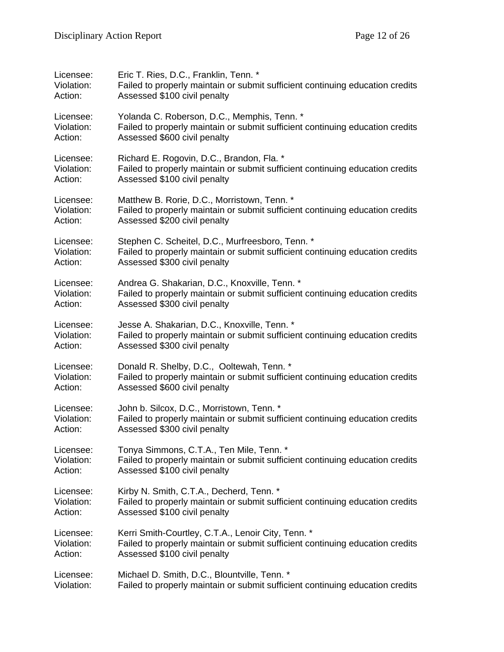| Licensee:  | Eric T. Ries, D.C., Franklin, Tenn. *                                         |
|------------|-------------------------------------------------------------------------------|
| Violation: | Failed to properly maintain or submit sufficient continuing education credits |
| Action:    | Assessed \$100 civil penalty                                                  |
| Licensee:  | Yolanda C. Roberson, D.C., Memphis, Tenn. *                                   |
| Violation: | Failed to properly maintain or submit sufficient continuing education credits |
| Action:    | Assessed \$600 civil penalty                                                  |
| Licensee:  | Richard E. Rogovin, D.C., Brandon, Fla. *                                     |
| Violation: | Failed to properly maintain or submit sufficient continuing education credits |
| Action:    | Assessed \$100 civil penalty                                                  |
| Licensee:  | Matthew B. Rorie, D.C., Morristown, Tenn. *                                   |
| Violation: | Failed to properly maintain or submit sufficient continuing education credits |
| Action:    | Assessed \$200 civil penalty                                                  |
| Licensee:  | Stephen C. Scheitel, D.C., Murfreesboro, Tenn. *                              |
| Violation: | Failed to properly maintain or submit sufficient continuing education credits |
| Action:    | Assessed \$300 civil penalty                                                  |
| Licensee:  | Andrea G. Shakarian, D.C., Knoxville, Tenn. *                                 |
| Violation: | Failed to properly maintain or submit sufficient continuing education credits |
| Action:    | Assessed \$300 civil penalty                                                  |
| Licensee:  | Jesse A. Shakarian, D.C., Knoxville, Tenn. *                                  |
| Violation: | Failed to properly maintain or submit sufficient continuing education credits |
| Action:    | Assessed \$300 civil penalty                                                  |
| Licensee:  | Donald R. Shelby, D.C., Ooltewah, Tenn. *                                     |
| Violation: | Failed to properly maintain or submit sufficient continuing education credits |
| Action:    | Assessed \$600 civil penalty                                                  |
| Licensee:  | John b. Silcox, D.C., Morristown, Tenn. *                                     |
| Violation: | Failed to properly maintain or submit sufficient continuing education credits |
| Action:    | Assessed \$300 civil penalty                                                  |
| Licensee:  | Tonya Simmons, C.T.A., Ten Mile, Tenn. *                                      |
| Violation: | Failed to properly maintain or submit sufficient continuing education credits |
| Action:    | Assessed \$100 civil penalty                                                  |
| Licensee:  | Kirby N. Smith, C.T.A., Decherd, Tenn. *                                      |
| Violation: | Failed to properly maintain or submit sufficient continuing education credits |
| Action:    | Assessed \$100 civil penalty                                                  |
| Licensee:  | Kerri Smith-Courtley, C.T.A., Lenoir City, Tenn. *                            |
| Violation: | Failed to properly maintain or submit sufficient continuing education credits |
| Action:    | Assessed \$100 civil penalty                                                  |
| Licensee:  | Michael D. Smith, D.C., Blountville, Tenn. *                                  |
| Violation: | Failed to properly maintain or submit sufficient continuing education credits |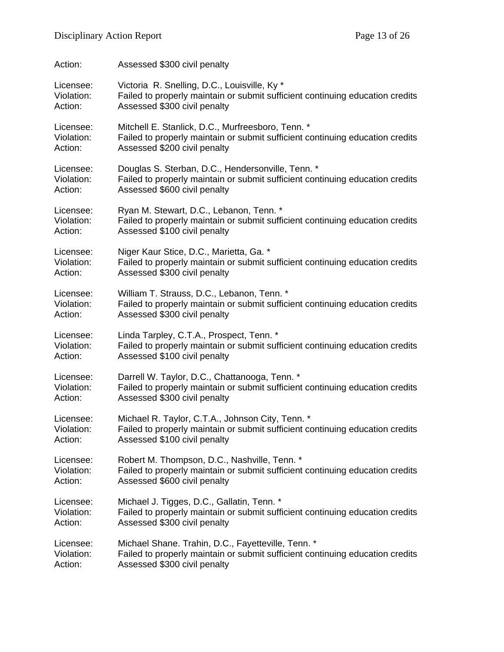| Action:    | Assessed \$300 civil penalty                                                  |
|------------|-------------------------------------------------------------------------------|
| Licensee:  | Victoria R. Snelling, D.C., Louisville, Ky *                                  |
| Violation: | Failed to properly maintain or submit sufficient continuing education credits |
| Action:    | Assessed \$300 civil penalty                                                  |
| Licensee:  | Mitchell E. Stanlick, D.C., Murfreesboro, Tenn. *                             |
| Violation: | Failed to properly maintain or submit sufficient continuing education credits |
| Action:    | Assessed \$200 civil penalty                                                  |
| Licensee:  | Douglas S. Sterban, D.C., Hendersonville, Tenn. *                             |
| Violation: | Failed to properly maintain or submit sufficient continuing education credits |
| Action:    | Assessed \$600 civil penalty                                                  |
| Licensee:  | Ryan M. Stewart, D.C., Lebanon, Tenn. *                                       |
| Violation: | Failed to properly maintain or submit sufficient continuing education credits |
| Action:    | Assessed \$100 civil penalty                                                  |
| Licensee:  | Niger Kaur Stice, D.C., Marietta, Ga. *                                       |
| Violation: | Failed to properly maintain or submit sufficient continuing education credits |
| Action:    | Assessed \$300 civil penalty                                                  |
| Licensee:  | William T. Strauss, D.C., Lebanon, Tenn. *                                    |
| Violation: | Failed to properly maintain or submit sufficient continuing education credits |
| Action:    | Assessed \$300 civil penalty                                                  |
| Licensee:  | Linda Tarpley, C.T.A., Prospect, Tenn. *                                      |
| Violation: | Failed to properly maintain or submit sufficient continuing education credits |
| Action:    | Assessed \$100 civil penalty                                                  |
| Licensee:  | Darrell W. Taylor, D.C., Chattanooga, Tenn. *                                 |
| Violation: | Failed to properly maintain or submit sufficient continuing education credits |
| Action:    | Assessed \$300 civil penalty                                                  |
| Licensee:  | Michael R. Taylor, C.T.A., Johnson City, Tenn. *                              |
| Violation: | Failed to properly maintain or submit sufficient continuing education credits |
| Action:    | Assessed \$100 civil penalty                                                  |
| Licensee:  | Robert M. Thompson, D.C., Nashville, Tenn. *                                  |
| Violation: | Failed to properly maintain or submit sufficient continuing education credits |
| Action:    | Assessed \$600 civil penalty                                                  |
| Licensee:  | Michael J. Tigges, D.C., Gallatin, Tenn. *                                    |
| Violation: | Failed to properly maintain or submit sufficient continuing education credits |
| Action:    | Assessed \$300 civil penalty                                                  |
| Licensee:  | Michael Shane. Trahin, D.C., Fayetteville, Tenn. *                            |
| Violation: | Failed to properly maintain or submit sufficient continuing education credits |
| Action:    | Assessed \$300 civil penalty                                                  |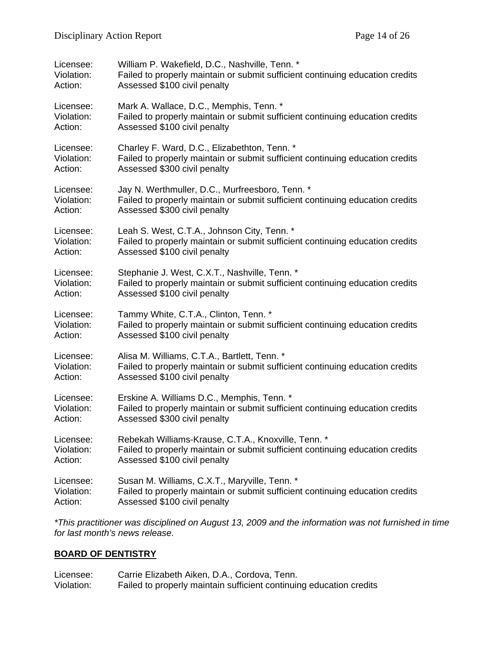| Licensee:  | William P. Wakefield, D.C., Nashville, Tenn. *                                |
|------------|-------------------------------------------------------------------------------|
| Violation: | Failed to properly maintain or submit sufficient continuing education credits |
| Action:    | Assessed \$100 civil penalty                                                  |
| Licensee:  | Mark A. Wallace, D.C., Memphis, Tenn. *                                       |
| Violation: | Failed to properly maintain or submit sufficient continuing education credits |
| Action:    | Assessed \$100 civil penalty                                                  |
| Licensee:  | Charley F. Ward, D.C., Elizabethton, Tenn. *                                  |
| Violation: | Failed to properly maintain or submit sufficient continuing education credits |
| Action:    | Assessed \$300 civil penalty                                                  |
| Licensee:  | Jay N. Werthmuller, D.C., Murfreesboro, Tenn. *                               |
| Violation: | Failed to properly maintain or submit sufficient continuing education credits |
| Action:    | Assessed \$300 civil penalty                                                  |
| Licensee:  | Leah S. West, C.T.A., Johnson City, Tenn. *                                   |
| Violation: | Failed to properly maintain or submit sufficient continuing education credits |
| Action:    | Assessed \$100 civil penalty                                                  |
| Licensee:  | Stephanie J. West, C.X.T., Nashville, Tenn. *                                 |
| Violation: | Failed to properly maintain or submit sufficient continuing education credits |
| Action:    | Assessed \$100 civil penalty                                                  |
| Licensee:  | Tammy White, C.T.A., Clinton, Tenn. *                                         |
| Violation: | Failed to properly maintain or submit sufficient continuing education credits |
| Action:    | Assessed \$100 civil penalty                                                  |
| Licensee:  | Alisa M. Williams, C.T.A., Bartlett, Tenn. *                                  |
| Violation: | Failed to properly maintain or submit sufficient continuing education credits |
| Action:    | Assessed \$100 civil penalty                                                  |
| Licensee:  | Erskine A. Williams D.C., Memphis, Tenn. *                                    |
| Violation: | Failed to properly maintain or submit sufficient continuing education credits |
| Action:    | Assessed \$300 civil penalty                                                  |
| Licensee:  | Rebekah Williams-Krause, C.T.A., Knoxville, Tenn. *                           |
| Violation: | Failed to properly maintain or submit sufficient continuing education credits |
| Action:    | Assessed \$100 civil penalty                                                  |
| Licensee:  | Susan M. Williams, C.X.T., Maryville, Tenn. *                                 |
| Violation: | Failed to properly maintain or submit sufficient continuing education credits |
| Action:    | Assessed \$100 civil penalty                                                  |

*\*This practitioner was disciplined on August 13, 2009 and the information was not furnished in time for last month's news release.* 

## **BOARD OF DENTISTRY**

| Licensee:  | Carrie Elizabeth Aiken, D.A., Cordova, Tenn.                        |
|------------|---------------------------------------------------------------------|
| Violation: | Failed to properly maintain sufficient continuing education credits |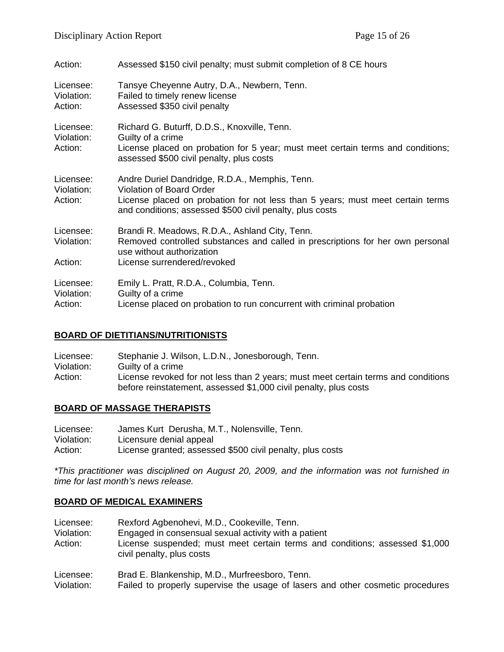| Action:                            | Assessed \$150 civil penalty; must submit completion of 8 CE hours                                                                                                                                                              |
|------------------------------------|---------------------------------------------------------------------------------------------------------------------------------------------------------------------------------------------------------------------------------|
| Licensee:<br>Violation:<br>Action: | Tansye Cheyenne Autry, D.A., Newbern, Tenn.<br>Failed to timely renew license<br>Assessed \$350 civil penalty                                                                                                                   |
| Licensee:<br>Violation:<br>Action: | Richard G. Buturff, D.D.S., Knoxville, Tenn.<br>Guilty of a crime<br>License placed on probation for 5 year; must meet certain terms and conditions;<br>assessed \$500 civil penalty, plus costs                                |
| Licensee:<br>Violation:<br>Action: | Andre Duriel Dandridge, R.D.A., Memphis, Tenn.<br><b>Violation of Board Order</b><br>License placed on probation for not less than 5 years; must meet certain terms<br>and conditions; assessed \$500 civil penalty, plus costs |
| Licensee:<br>Violation:            | Brandi R. Meadows, R.D.A., Ashland City, Tenn.<br>Removed controlled substances and called in prescriptions for her own personal<br>use without authorization                                                                   |
| Action:                            | License surrendered/revoked                                                                                                                                                                                                     |
| Licensee:<br>Violation:<br>Action: | Emily L. Pratt, R.D.A., Columbia, Tenn.<br>Guilty of a crime<br>License placed on probation to run concurrent with criminal probation                                                                                           |

### **BOARD OF DIETITIANS/NUTRITIONISTS**

| Licensee:  | Stephanie J. Wilson, L.D.N., Jonesborough, Tenn.                                  |
|------------|-----------------------------------------------------------------------------------|
| Violation: | Guilty of a crime                                                                 |
| Action:    | License revoked for not less than 2 years; must meet certain terms and conditions |
|            | before reinstatement, assessed \$1,000 civil penalty, plus costs                  |

### **BOARD OF MASSAGE THERAPISTS**

| Licensee:  | James Kurt Derusha, M.T., Nolensville, Tenn.              |
|------------|-----------------------------------------------------------|
| Violation: | Licensure denial appeal                                   |
| Action:    | License granted; assessed \$500 civil penalty, plus costs |

*\*This practitioner was disciplined on August 20, 2009, and the information was not furnished in time for last month's news release.* 

#### **BOARD OF MEDICAL EXAMINERS**

| Licensee:  | Rexford Agbenohevi, M.D., Cookeville, Tenn.                                                              |
|------------|----------------------------------------------------------------------------------------------------------|
| Violation: | Engaged in consensual sexual activity with a patient                                                     |
| Action:    | License suspended; must meet certain terms and conditions; assessed \$1,000<br>civil penalty, plus costs |

Licensee: Brad E. Blankenship, M.D., Murfreesboro, Tenn.

Violation: Failed to properly supervise the usage of lasers and other cosmetic procedures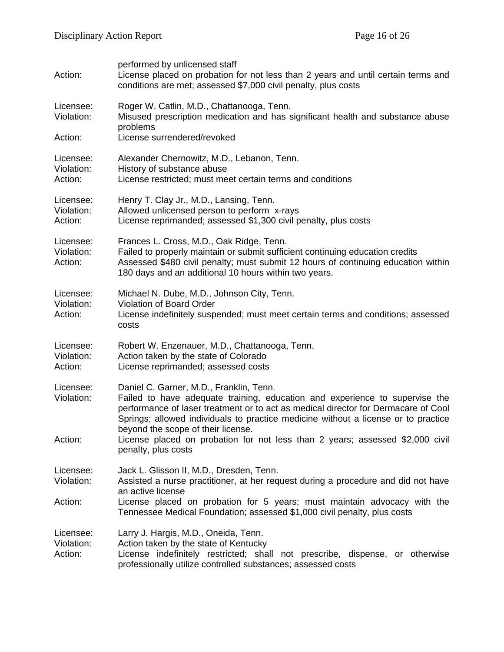| Action:                            | performed by unlicensed staff<br>License placed on probation for not less than 2 years and until certain terms and<br>conditions are met; assessed \$7,000 civil penalty, plus costs                                                                                                                                                     |
|------------------------------------|------------------------------------------------------------------------------------------------------------------------------------------------------------------------------------------------------------------------------------------------------------------------------------------------------------------------------------------|
| Licensee:<br>Violation:            | Roger W. Catlin, M.D., Chattanooga, Tenn.<br>Misused prescription medication and has significant health and substance abuse<br>problems                                                                                                                                                                                                  |
| Action:                            | License surrendered/revoked                                                                                                                                                                                                                                                                                                              |
| Licensee:<br>Violation:<br>Action: | Alexander Chernowitz, M.D., Lebanon, Tenn.<br>History of substance abuse<br>License restricted; must meet certain terms and conditions                                                                                                                                                                                                   |
| Licensee:<br>Violation:<br>Action: | Henry T. Clay Jr., M.D., Lansing, Tenn.<br>Allowed unlicensed person to perform x-rays<br>License reprimanded; assessed \$1,300 civil penalty, plus costs                                                                                                                                                                                |
| Licensee:<br>Violation:<br>Action: | Frances L. Cross, M.D., Oak Ridge, Tenn.<br>Failed to properly maintain or submit sufficient continuing education credits<br>Assessed \$480 civil penalty; must submit 12 hours of continuing education within<br>180 days and an additional 10 hours within two years.                                                                  |
| Licensee:<br>Violation:<br>Action: | Michael N. Dube, M.D., Johnson City, Tenn.<br><b>Violation of Board Order</b><br>License indefinitely suspended; must meet certain terms and conditions; assessed<br>costs                                                                                                                                                               |
| Licensee:<br>Violation:<br>Action: | Robert W. Enzenauer, M.D., Chattanooga, Tenn.<br>Action taken by the state of Colorado<br>License reprimanded; assessed costs                                                                                                                                                                                                            |
| Licensee:<br>Violation:            | Daniel C. Garner, M.D., Franklin, Tenn.<br>Failed to have adequate training, education and experience to supervise the<br>performance of laser treatment or to act as medical director for Dermacare of Cool<br>Springs; allowed individuals to practice medicine without a license or to practice<br>beyond the scope of their license. |
| Action:                            | License placed on probation for not less than 2 years; assessed \$2,000 civil<br>penalty, plus costs                                                                                                                                                                                                                                     |
| Licensee:<br>Violation:            | Jack L. Glisson II, M.D., Dresden, Tenn.<br>Assisted a nurse practitioner, at her request during a procedure and did not have<br>an active license                                                                                                                                                                                       |
| Action:                            | License placed on probation for 5 years; must maintain advocacy with the<br>Tennessee Medical Foundation; assessed \$1,000 civil penalty, plus costs                                                                                                                                                                                     |
| Licensee:<br>Violation:<br>Action: | Larry J. Hargis, M.D., Oneida, Tenn.<br>Action taken by the state of Kentucky<br>License indefinitely restricted; shall not prescribe, dispense, or otherwise<br>professionally utilize controlled substances; assessed costs                                                                                                            |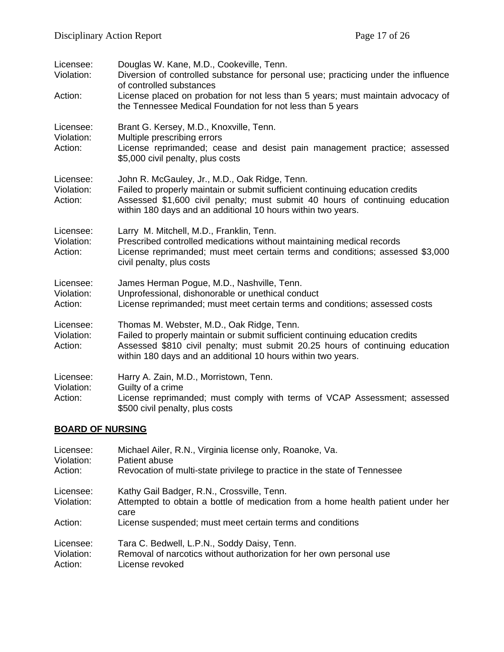| Licensee:<br>Violation:            | Douglas W. Kane, M.D., Cookeville, Tenn.<br>Diversion of controlled substance for personal use; practicing under the influence<br>of controlled substances                                                                                                                     |
|------------------------------------|--------------------------------------------------------------------------------------------------------------------------------------------------------------------------------------------------------------------------------------------------------------------------------|
| Action:                            | License placed on probation for not less than 5 years; must maintain advocacy of<br>the Tennessee Medical Foundation for not less than 5 years                                                                                                                                 |
| Licensee:<br>Violation:<br>Action: | Brant G. Kersey, M.D., Knoxville, Tenn.<br>Multiple prescribing errors<br>License reprimanded; cease and desist pain management practice; assessed<br>\$5,000 civil penalty, plus costs                                                                                        |
| Licensee:<br>Violation:<br>Action: | John R. McGauley, Jr., M.D., Oak Ridge, Tenn.<br>Failed to properly maintain or submit sufficient continuing education credits<br>Assessed \$1,600 civil penalty; must submit 40 hours of continuing education<br>within 180 days and an additional 10 hours within two years. |
| Licensee:<br>Violation:<br>Action: | Larry M. Mitchell, M.D., Franklin, Tenn.<br>Prescribed controlled medications without maintaining medical records<br>License reprimanded; must meet certain terms and conditions; assessed \$3,000<br>civil penalty, plus costs                                                |
| Licensee:<br>Violation:<br>Action: | James Herman Pogue, M.D., Nashville, Tenn.<br>Unprofessional, dishonorable or unethical conduct<br>License reprimanded; must meet certain terms and conditions; assessed costs                                                                                                 |
| Licensee:<br>Violation:<br>Action: | Thomas M. Webster, M.D., Oak Ridge, Tenn.<br>Failed to properly maintain or submit sufficient continuing education credits<br>Assessed \$810 civil penalty; must submit 20.25 hours of continuing education<br>within 180 days and an additional 10 hours within two years.    |
| Licensee:<br>Violation:<br>Action: | Harry A. Zain, M.D., Morristown, Tenn.<br>Guilty of a crime<br>License reprimanded; must comply with terms of VCAP Assessment; assessed<br>\$500 civil penalty, plus costs                                                                                                     |
| <b>BOARD OF NURSING</b>            |                                                                                                                                                                                                                                                                                |
| Licensee:                          | Michael Ailer, R.N., Virginia license only, Roanoke, Va.                                                                                                                                                                                                                       |

| Violation:<br>Action: | Patient abuse<br>Revocation of multi-state privilege to practice in the state of Tennessee |
|-----------------------|--------------------------------------------------------------------------------------------|
| Licensee:             | Kathy Gail Badger, R.N., Crossville, Tenn.                                                 |
| Violation:            | Attempted to obtain a bottle of medication from a home health patient under her<br>care    |
| Action:               | License suspended; must meet certain terms and conditions                                  |
| Licensee:             | Tara C. Bedwell, L.P.N., Soddy Daisy, Tenn.                                                |
| Violation:            | Removal of narcotics without authorization for her own personal use                        |
| Action:               | License revoked                                                                            |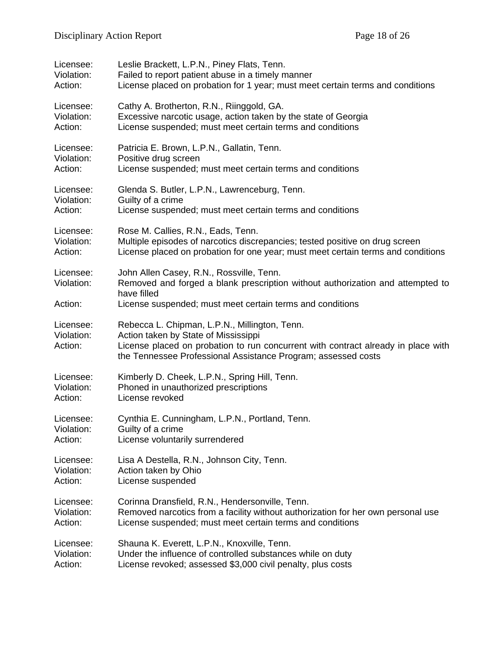| Licensee:                          | Leslie Brackett, L.P.N., Piney Flats, Tenn.                                                                                                                                                                                                 |
|------------------------------------|---------------------------------------------------------------------------------------------------------------------------------------------------------------------------------------------------------------------------------------------|
| Violation:                         | Failed to report patient abuse in a timely manner                                                                                                                                                                                           |
| Action:                            | License placed on probation for 1 year; must meet certain terms and conditions                                                                                                                                                              |
| Licensee:                          | Cathy A. Brotherton, R.N., Riinggold, GA.                                                                                                                                                                                                   |
| Violation:                         | Excessive narcotic usage, action taken by the state of Georgia                                                                                                                                                                              |
| Action:                            | License suspended; must meet certain terms and conditions                                                                                                                                                                                   |
| Licensee:                          | Patricia E. Brown, L.P.N., Gallatin, Tenn.                                                                                                                                                                                                  |
| Violation:                         | Positive drug screen                                                                                                                                                                                                                        |
| Action:                            | License suspended; must meet certain terms and conditions                                                                                                                                                                                   |
| Licensee:                          | Glenda S. Butler, L.P.N., Lawrenceburg, Tenn.                                                                                                                                                                                               |
| Violation:                         | Guilty of a crime                                                                                                                                                                                                                           |
| Action:                            | License suspended; must meet certain terms and conditions                                                                                                                                                                                   |
| Licensee:                          | Rose M. Callies, R.N., Eads, Tenn.                                                                                                                                                                                                          |
| Violation:                         | Multiple episodes of narcotics discrepancies; tested positive on drug screen                                                                                                                                                                |
| Action:                            | License placed on probation for one year; must meet certain terms and conditions                                                                                                                                                            |
| Licensee:<br>Violation:<br>Action: | John Allen Casey, R.N., Rossville, Tenn.<br>Removed and forged a blank prescription without authorization and attempted to<br>have filled<br>License suspended; must meet certain terms and conditions                                      |
| Licensee:<br>Violation:<br>Action: | Rebecca L. Chipman, L.P.N., Millington, Tenn.<br>Action taken by State of Mississippi<br>License placed on probation to run concurrent with contract already in place with<br>the Tennessee Professional Assistance Program; assessed costs |
| Licensee:                          | Kimberly D. Cheek, L.P.N., Spring Hill, Tenn.                                                                                                                                                                                               |
| Violation:                         | Phoned in unauthorized prescriptions                                                                                                                                                                                                        |
| Action:                            | License revoked                                                                                                                                                                                                                             |
| Licensee:                          | Cynthia E. Cunningham, L.P.N., Portland, Tenn.                                                                                                                                                                                              |
| Violation:                         | Guilty of a crime                                                                                                                                                                                                                           |
| Action:                            | License voluntarily surrendered                                                                                                                                                                                                             |
| Licensee:                          | Lisa A Destella, R.N., Johnson City, Tenn.                                                                                                                                                                                                  |
| Violation:                         | Action taken by Ohio                                                                                                                                                                                                                        |
| Action:                            | License suspended                                                                                                                                                                                                                           |
| Licensee:                          | Corinna Dransfield, R.N., Hendersonville, Tenn.                                                                                                                                                                                             |
| Violation:                         | Removed narcotics from a facility without authorization for her own personal use                                                                                                                                                            |
| Action:                            | License suspended; must meet certain terms and conditions                                                                                                                                                                                   |
| Licensee:                          | Shauna K. Everett, L.P.N., Knoxville, Tenn.                                                                                                                                                                                                 |
| Violation:                         | Under the influence of controlled substances while on duty                                                                                                                                                                                  |
| Action:                            | License revoked; assessed \$3,000 civil penalty, plus costs                                                                                                                                                                                 |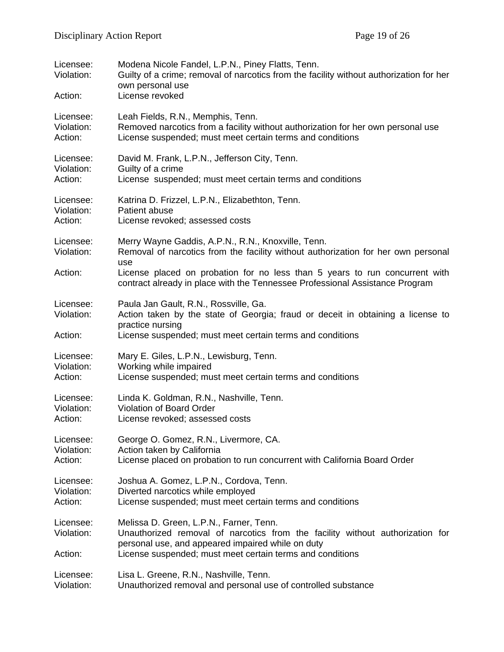| Licensee:<br>Violation:<br>Action: | Modena Nicole Fandel, L.P.N., Piney Flatts, Tenn.<br>Guilty of a crime; removal of narcotics from the facility without authorization for her<br>own personal use<br>License revoked                                                                                                                           |
|------------------------------------|---------------------------------------------------------------------------------------------------------------------------------------------------------------------------------------------------------------------------------------------------------------------------------------------------------------|
| Licensee:                          | Leah Fields, R.N., Memphis, Tenn.                                                                                                                                                                                                                                                                             |
| Violation:                         | Removed narcotics from a facility without authorization for her own personal use                                                                                                                                                                                                                              |
| Action:                            | License suspended; must meet certain terms and conditions                                                                                                                                                                                                                                                     |
| Licensee:                          | David M. Frank, L.P.N., Jefferson City, Tenn.                                                                                                                                                                                                                                                                 |
| Violation:                         | Guilty of a crime                                                                                                                                                                                                                                                                                             |
| Action:                            | License suspended; must meet certain terms and conditions                                                                                                                                                                                                                                                     |
| Licensee:                          | Katrina D. Frizzel, L.P.N., Elizabethton, Tenn.                                                                                                                                                                                                                                                               |
| Violation:                         | Patient abuse                                                                                                                                                                                                                                                                                                 |
| Action:                            | License revoked; assessed costs                                                                                                                                                                                                                                                                               |
| Licensee:<br>Violation:<br>Action: | Merry Wayne Gaddis, A.P.N., R.N., Knoxville, Tenn.<br>Removal of narcotics from the facility without authorization for her own personal<br>use<br>License placed on probation for no less than 5 years to run concurrent with<br>contract already in place with the Tennessee Professional Assistance Program |
| Licensee:<br>Violation:<br>Action: | Paula Jan Gault, R.N., Rossville, Ga.<br>Action taken by the state of Georgia; fraud or deceit in obtaining a license to<br>practice nursing<br>License suspended; must meet certain terms and conditions                                                                                                     |
| Licensee:                          | Mary E. Giles, L.P.N., Lewisburg, Tenn.                                                                                                                                                                                                                                                                       |
| Violation:                         | Working while impaired                                                                                                                                                                                                                                                                                        |
| Action:                            | License suspended; must meet certain terms and conditions                                                                                                                                                                                                                                                     |
| Licensee:                          | Linda K. Goldman, R.N., Nashville, Tenn.                                                                                                                                                                                                                                                                      |
| Violation:                         | <b>Violation of Board Order</b>                                                                                                                                                                                                                                                                               |
| Action:                            | License revoked; assessed costs                                                                                                                                                                                                                                                                               |
| Licensee:                          | George O. Gomez, R.N., Livermore, CA.                                                                                                                                                                                                                                                                         |
| Violation:                         | Action taken by California                                                                                                                                                                                                                                                                                    |
| Action:                            | License placed on probation to run concurrent with California Board Order                                                                                                                                                                                                                                     |
| Licensee:                          | Joshua A. Gomez, L.P.N., Cordova, Tenn.                                                                                                                                                                                                                                                                       |
| Violation:                         | Diverted narcotics while employed                                                                                                                                                                                                                                                                             |
| Action:                            | License suspended; must meet certain terms and conditions                                                                                                                                                                                                                                                     |
| Licensee:<br>Violation:<br>Action: | Melissa D. Green, L.P.N., Farner, Tenn.<br>Unauthorized removal of narcotics from the facility without authorization for<br>personal use, and appeared impaired while on duty<br>License suspended; must meet certain terms and conditions                                                                    |
| Licensee:                          | Lisa L. Greene, R.N., Nashville, Tenn.                                                                                                                                                                                                                                                                        |
| Violation:                         | Unauthorized removal and personal use of controlled substance                                                                                                                                                                                                                                                 |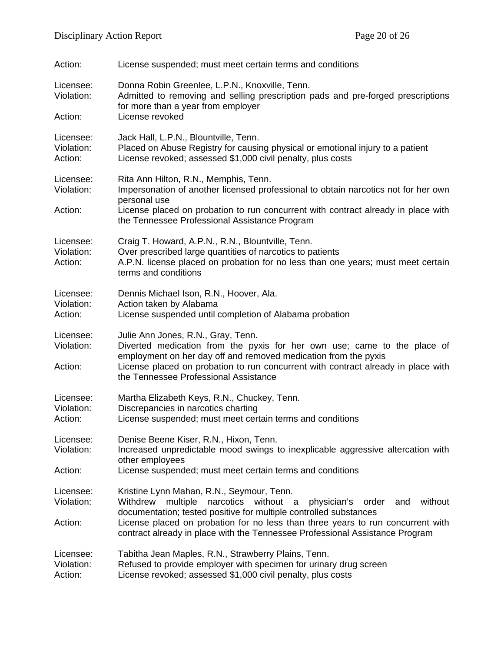| Action:                            | License suspended; must meet certain terms and conditions                                                                                                                                                                                                                                                       |
|------------------------------------|-----------------------------------------------------------------------------------------------------------------------------------------------------------------------------------------------------------------------------------------------------------------------------------------------------------------|
| Licensee:<br>Violation:            | Donna Robin Greenlee, L.P.N., Knoxville, Tenn.<br>Admitted to removing and selling prescription pads and pre-forged prescriptions<br>for more than a year from employer                                                                                                                                         |
| Action:                            | License revoked                                                                                                                                                                                                                                                                                                 |
| Licensee:<br>Violation:<br>Action: | Jack Hall, L.P.N., Blountville, Tenn.<br>Placed on Abuse Registry for causing physical or emotional injury to a patient<br>License revoked; assessed \$1,000 civil penalty, plus costs                                                                                                                          |
| Licensee:<br>Violation:<br>Action: | Rita Ann Hilton, R.N., Memphis, Tenn.<br>Impersonation of another licensed professional to obtain narcotics not for her own<br>personal use<br>License placed on probation to run concurrent with contract already in place with                                                                                |
|                                    | the Tennessee Professional Assistance Program                                                                                                                                                                                                                                                                   |
| Licensee:<br>Violation:<br>Action: | Craig T. Howard, A.P.N., R.N., Blountville, Tenn.<br>Over prescribed large quantities of narcotics to patients<br>A.P.N. license placed on probation for no less than one years; must meet certain<br>terms and conditions                                                                                      |
| Licensee:<br>Violation:<br>Action: | Dennis Michael Ison, R.N., Hoover, Ala.<br>Action taken by Alabama<br>License suspended until completion of Alabama probation                                                                                                                                                                                   |
| Licensee:<br>Violation:<br>Action: | Julie Ann Jones, R.N., Gray, Tenn.<br>Diverted medication from the pyxis for her own use; came to the place of<br>employment on her day off and removed medication from the pyxis<br>License placed on probation to run concurrent with contract already in place with<br>the Tennessee Professional Assistance |
| Licensee:<br>Violation:<br>Action: | Martha Elizabeth Keys, R.N., Chuckey, Tenn.<br>Discrepancies in narcotics charting<br>License suspended; must meet certain terms and conditions                                                                                                                                                                 |
| Licensee:<br>Violation:            | Denise Beene Kiser, R.N., Hixon, Tenn.<br>Increased unpredictable mood swings to inexplicable aggressive altercation with<br>other employees                                                                                                                                                                    |
| Action:                            | License suspended; must meet certain terms and conditions                                                                                                                                                                                                                                                       |
| Licensee:<br>Violation:            | Kristine Lynn Mahan, R.N., Seymour, Tenn.<br>multiple<br>without a<br>without<br>Withdrew<br>narcotics<br>physician's<br>order<br>and<br>documentation; tested positive for multiple controlled substances                                                                                                      |
| Action:                            | License placed on probation for no less than three years to run concurrent with<br>contract already in place with the Tennessee Professional Assistance Program                                                                                                                                                 |
| Licensee:<br>Violation:<br>Action: | Tabitha Jean Maples, R.N., Strawberry Plains, Tenn.<br>Refused to provide employer with specimen for urinary drug screen<br>License revoked; assessed \$1,000 civil penalty, plus costs                                                                                                                         |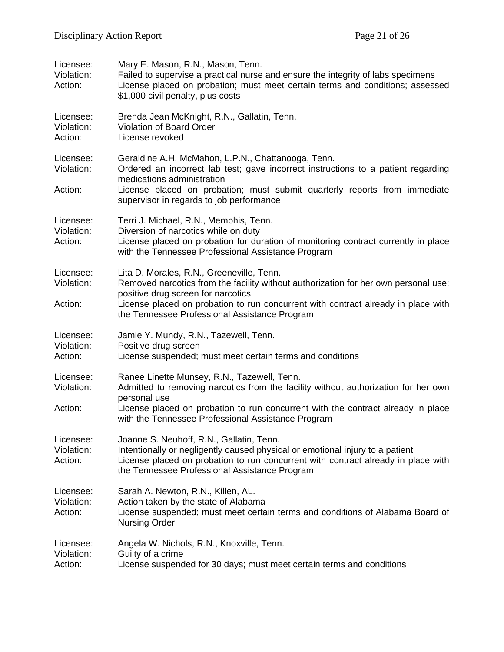| Licensee:<br>Violation:<br>Action: | Mary E. Mason, R.N., Mason, Tenn.<br>Failed to supervise a practical nurse and ensure the integrity of labs specimens<br>License placed on probation; must meet certain terms and conditions; assessed<br>\$1,000 civil penalty, plus costs                                                    |
|------------------------------------|------------------------------------------------------------------------------------------------------------------------------------------------------------------------------------------------------------------------------------------------------------------------------------------------|
| Licensee:<br>Violation:<br>Action: | Brenda Jean McKnight, R.N., Gallatin, Tenn.<br>Violation of Board Order<br>License revoked                                                                                                                                                                                                     |
| Licensee:<br>Violation:<br>Action: | Geraldine A.H. McMahon, L.P.N., Chattanooga, Tenn.<br>Ordered an incorrect lab test; gave incorrect instructions to a patient regarding<br>medications administration<br>License placed on probation; must submit quarterly reports from immediate<br>supervisor in regards to job performance |
| Licensee:<br>Violation:<br>Action: | Terri J. Michael, R.N., Memphis, Tenn.<br>Diversion of narcotics while on duty<br>License placed on probation for duration of monitoring contract currently in place<br>with the Tennessee Professional Assistance Program                                                                     |
| Licensee:<br>Violation:            | Lita D. Morales, R.N., Greeneville, Tenn.<br>Removed narcotics from the facility without authorization for her own personal use;<br>positive drug screen for narcotics                                                                                                                         |
| Action:                            | License placed on probation to run concurrent with contract already in place with<br>the Tennessee Professional Assistance Program                                                                                                                                                             |
| Licensee:<br>Violation:<br>Action: | Jamie Y. Mundy, R.N., Tazewell, Tenn.<br>Positive drug screen<br>License suspended; must meet certain terms and conditions                                                                                                                                                                     |
| Licensee:<br>Violation:            | Ranee Linette Munsey, R.N., Tazewell, Tenn.<br>Admitted to removing narcotics from the facility without authorization for her own<br>personal use                                                                                                                                              |
| Action:                            | License placed on probation to run concurrent with the contract already in place<br>with the Tennessee Professional Assistance Program                                                                                                                                                         |
| Licensee:<br>Violation:<br>Action: | Joanne S. Neuhoff, R.N., Gallatin, Tenn.<br>Intentionally or negligently caused physical or emotional injury to a patient<br>License placed on probation to run concurrent with contract already in place with<br>the Tennessee Professional Assistance Program                                |
| Licensee:<br>Violation:<br>Action: | Sarah A. Newton, R.N., Killen, AL.<br>Action taken by the state of Alabama<br>License suspended; must meet certain terms and conditions of Alabama Board of<br><b>Nursing Order</b>                                                                                                            |
| Licensee:<br>Violation:<br>Action: | Angela W. Nichols, R.N., Knoxville, Tenn.<br>Guilty of a crime<br>License suspended for 30 days; must meet certain terms and conditions                                                                                                                                                        |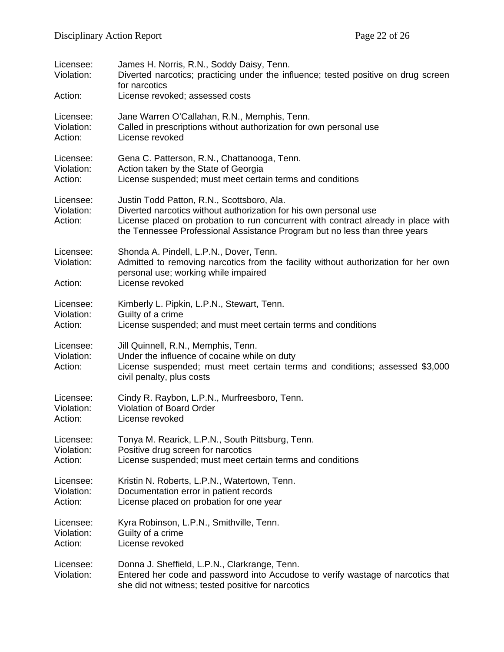| Licensee:<br>Violation:            | James H. Norris, R.N., Soddy Daisy, Tenn.<br>Diverted narcotics; practicing under the influence; tested positive on drug screen<br>for narcotics                                                                                                                                   |
|------------------------------------|------------------------------------------------------------------------------------------------------------------------------------------------------------------------------------------------------------------------------------------------------------------------------------|
| Action:                            | License revoked; assessed costs                                                                                                                                                                                                                                                    |
| Licensee:                          | Jane Warren O'Callahan, R.N., Memphis, Tenn.                                                                                                                                                                                                                                       |
| Violation:                         | Called in prescriptions without authorization for own personal use                                                                                                                                                                                                                 |
| Action:                            | License revoked                                                                                                                                                                                                                                                                    |
| Licensee:                          | Gena C. Patterson, R.N., Chattanooga, Tenn.                                                                                                                                                                                                                                        |
| Violation:                         | Action taken by the State of Georgia                                                                                                                                                                                                                                               |
| Action:                            | License suspended; must meet certain terms and conditions                                                                                                                                                                                                                          |
| Licensee:<br>Violation:<br>Action: | Justin Todd Patton, R.N., Scottsboro, Ala.<br>Diverted narcotics without authorization for his own personal use<br>License placed on probation to run concurrent with contract already in place with<br>the Tennessee Professional Assistance Program but no less than three years |
| Licensee:<br>Violation:<br>Action: | Shonda A. Pindell, L.P.N., Dover, Tenn.<br>Admitted to removing narcotics from the facility without authorization for her own<br>personal use; working while impaired<br>License revoked                                                                                           |
| Licensee:                          | Kimberly L. Pipkin, L.P.N., Stewart, Tenn.                                                                                                                                                                                                                                         |
| Violation:                         | Guilty of a crime                                                                                                                                                                                                                                                                  |
| Action:                            | License suspended; and must meet certain terms and conditions                                                                                                                                                                                                                      |
| Licensee:<br>Violation:<br>Action: | Jill Quinnell, R.N., Memphis, Tenn.<br>Under the influence of cocaine while on duty<br>License suspended; must meet certain terms and conditions; assessed \$3,000<br>civil penalty, plus costs                                                                                    |
| Licensee:                          | Cindy R. Raybon, L.P.N., Murfreesboro, Tenn.                                                                                                                                                                                                                                       |
| Violation:                         | Violation of Board Order                                                                                                                                                                                                                                                           |
| Action:                            | License revoked                                                                                                                                                                                                                                                                    |
| Licensee:                          | Tonya M. Rearick, L.P.N., South Pittsburg, Tenn.                                                                                                                                                                                                                                   |
| Violation:                         | Positive drug screen for narcotics                                                                                                                                                                                                                                                 |
| Action:                            | License suspended; must meet certain terms and conditions                                                                                                                                                                                                                          |
| Licensee:                          | Kristin N. Roberts, L.P.N., Watertown, Tenn.                                                                                                                                                                                                                                       |
| Violation:                         | Documentation error in patient records                                                                                                                                                                                                                                             |
| Action:                            | License placed on probation for one year                                                                                                                                                                                                                                           |
| Licensee:                          | Kyra Robinson, L.P.N., Smithville, Tenn.                                                                                                                                                                                                                                           |
| Violation:                         | Guilty of a crime                                                                                                                                                                                                                                                                  |
| Action:                            | License revoked                                                                                                                                                                                                                                                                    |
| Licensee:<br>Violation:            | Donna J. Sheffield, L.P.N., Clarkrange, Tenn.<br>Entered her code and password into Accudose to verify wastage of narcotics that<br>she did not witness; tested positive for narcotics                                                                                             |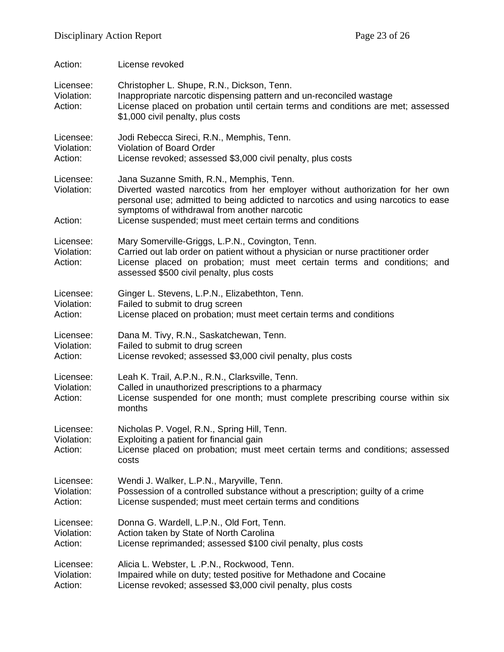| Action:                            | License revoked                                                                                                                                                                                                                                                                                                             |
|------------------------------------|-----------------------------------------------------------------------------------------------------------------------------------------------------------------------------------------------------------------------------------------------------------------------------------------------------------------------------|
| Licensee:<br>Violation:<br>Action: | Christopher L. Shupe, R.N., Dickson, Tenn.<br>Inappropriate narcotic dispensing pattern and un-reconciled wastage<br>License placed on probation until certain terms and conditions are met; assessed<br>\$1,000 civil penalty, plus costs                                                                                  |
| Licensee:                          | Jodi Rebecca Sireci, R.N., Memphis, Tenn.                                                                                                                                                                                                                                                                                   |
| Violation:                         | Violation of Board Order                                                                                                                                                                                                                                                                                                    |
| Action:                            | License revoked; assessed \$3,000 civil penalty, plus costs                                                                                                                                                                                                                                                                 |
| Licensee:<br>Violation:<br>Action: | Jana Suzanne Smith, R.N., Memphis, Tenn.<br>Diverted wasted narcotics from her employer without authorization for her own<br>personal use; admitted to being addicted to narcotics and using narcotics to ease<br>symptoms of withdrawal from another narcotic<br>License suspended; must meet certain terms and conditions |
| Licensee:<br>Violation:<br>Action: | Mary Somerville-Griggs, L.P.N., Covington, Tenn.<br>Carried out lab order on patient without a physician or nurse practitioner order<br>License placed on probation; must meet certain terms and conditions; and<br>assessed \$500 civil penalty, plus costs                                                                |
| Licensee:                          | Ginger L. Stevens, L.P.N., Elizabethton, Tenn.                                                                                                                                                                                                                                                                              |
| Violation:                         | Failed to submit to drug screen                                                                                                                                                                                                                                                                                             |
| Action:                            | License placed on probation; must meet certain terms and conditions                                                                                                                                                                                                                                                         |
| Licensee:                          | Dana M. Tivy, R.N., Saskatchewan, Tenn.                                                                                                                                                                                                                                                                                     |
| Violation:                         | Failed to submit to drug screen                                                                                                                                                                                                                                                                                             |
| Action:                            | License revoked; assessed \$3,000 civil penalty, plus costs                                                                                                                                                                                                                                                                 |
| Licensee:<br>Violation:<br>Action: | Leah K. Trail, A.P.N., R.N., Clarksville, Tenn.<br>Called in unauthorized prescriptions to a pharmacy<br>License suspended for one month; must complete prescribing course within six<br>months                                                                                                                             |
| Licensee:<br>Violation:<br>Action: | Nicholas P. Vogel, R.N., Spring Hill, Tenn.<br>Exploiting a patient for financial gain<br>License placed on probation; must meet certain terms and conditions; assessed<br>costs                                                                                                                                            |
| Licensee:                          | Wendi J. Walker, L.P.N., Maryville, Tenn.                                                                                                                                                                                                                                                                                   |
| Violation:                         | Possession of a controlled substance without a prescription; guilty of a crime                                                                                                                                                                                                                                              |
| Action:                            | License suspended; must meet certain terms and conditions                                                                                                                                                                                                                                                                   |
| Licensee:                          | Donna G. Wardell, L.P.N., Old Fort, Tenn.                                                                                                                                                                                                                                                                                   |
| Violation:                         | Action taken by State of North Carolina                                                                                                                                                                                                                                                                                     |
| Action:                            | License reprimanded; assessed \$100 civil penalty, plus costs                                                                                                                                                                                                                                                               |
| Licensee:                          | Alicia L. Webster, L.P.N., Rockwood, Tenn.                                                                                                                                                                                                                                                                                  |
| Violation:                         | Impaired while on duty; tested positive for Methadone and Cocaine                                                                                                                                                                                                                                                           |
| Action:                            | License revoked; assessed \$3,000 civil penalty, plus costs                                                                                                                                                                                                                                                                 |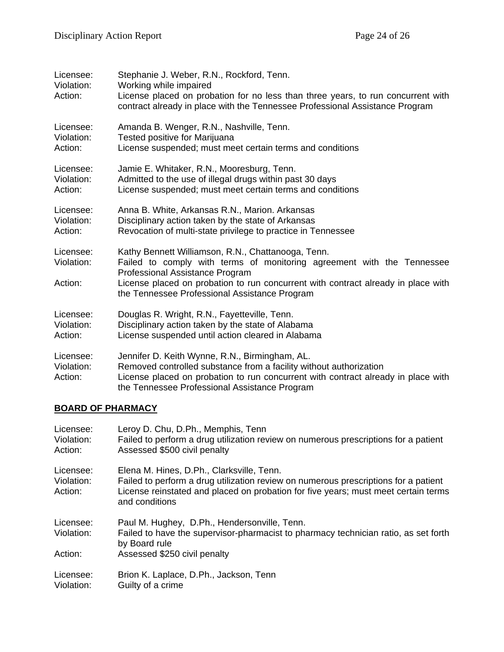| Licensee:<br>Violation:<br>Action: | Stephanie J. Weber, R.N., Rockford, Tenn.<br>Working while impaired<br>License placed on probation for no less than three years, to run concurrent with<br>contract already in place with the Tennessee Professional Assistance Program                                                               |
|------------------------------------|-------------------------------------------------------------------------------------------------------------------------------------------------------------------------------------------------------------------------------------------------------------------------------------------------------|
| Licensee:                          | Amanda B. Wenger, R.N., Nashville, Tenn.                                                                                                                                                                                                                                                              |
| Violation:                         | Tested positive for Marijuana                                                                                                                                                                                                                                                                         |
| Action:                            | License suspended; must meet certain terms and conditions                                                                                                                                                                                                                                             |
| Licensee:                          | Jamie E. Whitaker, R.N., Mooresburg, Tenn.                                                                                                                                                                                                                                                            |
| Violation:                         | Admitted to the use of illegal drugs within past 30 days                                                                                                                                                                                                                                              |
| Action:                            | License suspended; must meet certain terms and conditions                                                                                                                                                                                                                                             |
| Licensee:                          | Anna B. White, Arkansas R.N., Marion. Arkansas                                                                                                                                                                                                                                                        |
| Violation:                         | Disciplinary action taken by the state of Arkansas                                                                                                                                                                                                                                                    |
| Action:                            | Revocation of multi-state privilege to practice in Tennessee                                                                                                                                                                                                                                          |
| Licensee:<br>Violation:<br>Action: | Kathy Bennett Williamson, R.N., Chattanooga, Tenn.<br>Failed to comply with terms of monitoring agreement with the Tennessee<br>Professional Assistance Program<br>License placed on probation to run concurrent with contract already in place with<br>the Tennessee Professional Assistance Program |
| Licensee:                          | Douglas R. Wright, R.N., Fayetteville, Tenn.                                                                                                                                                                                                                                                          |
| Violation:                         | Disciplinary action taken by the state of Alabama                                                                                                                                                                                                                                                     |
| Action:                            | License suspended until action cleared in Alabama                                                                                                                                                                                                                                                     |
| Licensee:<br>Violation:<br>Action: | Jennifer D. Keith Wynne, R.N., Birmingham, AL.<br>Removed controlled substance from a facility without authorization<br>License placed on probation to run concurrent with contract already in place with<br>the Tennessee Professional Assistance Program                                            |

## **BOARD OF PHARMACY**

| Licensee:<br>Violation:<br>Action: | Leroy D. Chu, D.Ph., Memphis, Tenn<br>Failed to perform a drug utilization review on numerous prescriptions for a patient<br>Assessed \$500 civil penalty                                                                                |
|------------------------------------|------------------------------------------------------------------------------------------------------------------------------------------------------------------------------------------------------------------------------------------|
| Licensee:<br>Violation:<br>Action: | Elena M. Hines, D.Ph., Clarksville, Tenn.<br>Failed to perform a drug utilization review on numerous prescriptions for a patient<br>License reinstated and placed on probation for five years; must meet certain terms<br>and conditions |
| Licensee:<br>Violation:            | Paul M. Hughey, D.Ph., Hendersonville, Tenn.<br>Failed to have the supervisor-pharmacist to pharmacy technician ratio, as set forth<br>by Board rule                                                                                     |
| Action:                            | Assessed \$250 civil penalty                                                                                                                                                                                                             |
| Licensee:<br>Violation:            | Brion K. Laplace, D.Ph., Jackson, Tenn<br>Guilty of a crime                                                                                                                                                                              |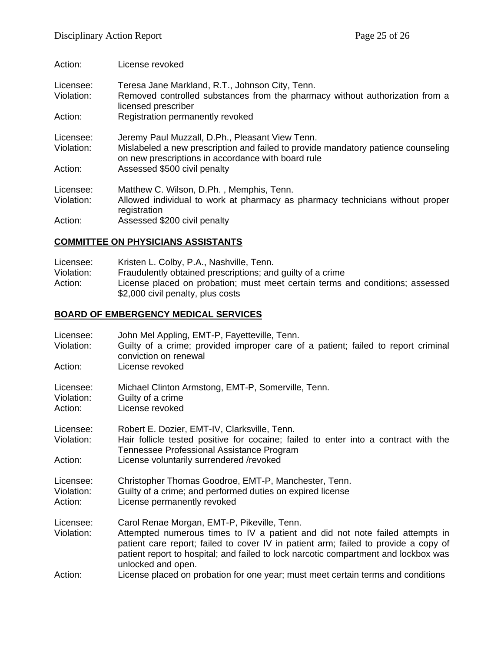| Action:                 | License revoked                                                                                                                                                                            |
|-------------------------|--------------------------------------------------------------------------------------------------------------------------------------------------------------------------------------------|
| Licensee:<br>Violation: | Teresa Jane Markland, R.T., Johnson City, Tenn.<br>Removed controlled substances from the pharmacy without authorization from a<br>licensed prescriber                                     |
| Action:                 | Registration permanently revoked                                                                                                                                                           |
| Licensee:<br>Violation: | Jeremy Paul Muzzall, D.Ph., Pleasant View Tenn.<br>Mislabeled a new prescription and failed to provide mandatory patience counseling<br>on new prescriptions in accordance with board rule |
| Action:                 | Assessed \$500 civil penalty                                                                                                                                                               |
| Licensee:<br>Violation: | Matthew C. Wilson, D.Ph., Memphis, Tenn.<br>Allowed individual to work at pharmacy as pharmacy technicians without proper<br>registration                                                  |
| Action:                 | Assessed \$200 civil penalty                                                                                                                                                               |

## **COMMITTEE ON PHYSICIANS ASSISTANTS**

| Licensee:  | Kristen L. Colby, P.A., Nashville, Tenn.                                      |
|------------|-------------------------------------------------------------------------------|
| Violation: | Fraudulently obtained prescriptions; and guilty of a crime                    |
| Action:    | License placed on probation; must meet certain terms and conditions; assessed |
|            | \$2,000 civil penalty, plus costs                                             |

# **BOARD OF EMBERGENCY MEDICAL SERVICES**

| Licensee:<br>Violation:            | John Mel Appling, EMT-P, Fayetteville, Tenn.<br>Guilty of a crime; provided improper care of a patient; failed to report criminal<br>conviction on renewal                                                                                                                                                                      |
|------------------------------------|---------------------------------------------------------------------------------------------------------------------------------------------------------------------------------------------------------------------------------------------------------------------------------------------------------------------------------|
| Action:                            | License revoked                                                                                                                                                                                                                                                                                                                 |
| Licensee:<br>Violation:<br>Action: | Michael Clinton Armstong, EMT-P, Somerville, Tenn.<br>Guilty of a crime<br>License revoked                                                                                                                                                                                                                                      |
| Licensee:<br>Violation:<br>Action: | Robert E. Dozier, EMT-IV, Clarksville, Tenn.<br>Hair follicle tested positive for cocaine; failed to enter into a contract with the<br>Tennessee Professional Assistance Program<br>License voluntarily surrendered /revoked                                                                                                    |
| Licensee:<br>Violation:<br>Action: | Christopher Thomas Goodroe, EMT-P, Manchester, Tenn.<br>Guilty of a crime; and performed duties on expired license<br>License permanently revoked                                                                                                                                                                               |
| Licensee:<br>Violation:            | Carol Renae Morgan, EMT-P, Pikeville, Tenn.<br>Attempted numerous times to IV a patient and did not note failed attempts in<br>patient care report; failed to cover IV in patient arm; failed to provide a copy of<br>patient report to hospital; and failed to lock narcotic compartment and lockbox was<br>unlocked and open. |
| Action:                            | License placed on probation for one year; must meet certain terms and conditions                                                                                                                                                                                                                                                |